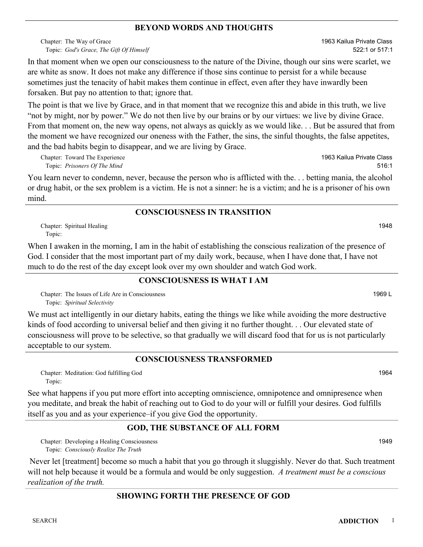### **BEYOND WORDS AND THOUGHTS**

Chapter: The Way of Grace *God's Grace, The Gift Of Himself* Topic:

In that moment when we open our consciousness to the nature of the Divine, though our sins were scarlet, we are white as snow. It does not make any difference if those sins continue to persist for a while because sometimes just the tenacity of habit makes them continue in effect, even after they have inwardly been forsaken. But pay no attention to that; ignore that.

The point is that we live by Grace, and in that moment that we recognize this and abide in this truth, we live "not by might, nor by power." We do not then live by our brains or by our virtues: we live by divine Grace. From that moment on, the new way opens, not always as quickly as we would like. . . But be assured that from the moment we have recognized our oneness with the Father, the sins, the sinful thoughts, the false appetites, and the bad habits begin to disappear, and we are living by Grace.

Chapter: Toward The Experience *Prisoners Of The Mind* Topic:

You learn never to condemn, never, because the person who is afflicted with the. . . betting mania, the alcohol or drug habit, or the sex problem is a victim. He is not a sinner: he is a victim; and he is a prisoner of his own mind.

## **CONSCIOUSNESS IN TRANSITION**

Chapter: Spiritual Healing 1948 Topic:

When I awaken in the morning, I am in the habit of establishing the conscious realization of the presence of God. I consider that the most important part of my daily work, because, when I have done that, I have not much to do the rest of the day except look over my own shoulder and watch God work.

### **CONSCIOUSNESS IS WHAT I AM**

Chapter: The Issues of Life Are in Consciousness **1969** L *Spiritual Selectivity* Topic:

We must act intelligently in our dietary habits, eating the things we like while avoiding the more destructive kinds of food according to universal belief and then giving it no further thought. . . Our elevated state of consciousness will prove to be selective, so that gradually we will discard food that for us is not particularly acceptable to our system.

### **CONSCIOUSNESS TRANSFORMED**

Chapter: Meditation: God fulfilling God 1964 Topic:

See what happens if you put more effort into accepting omniscience, omnipotence and omnipresence when you meditate, and break the habit of reaching out to God to do your will or fulfill your desires. God fulfills itself as you and as your experience–if you give God the opportunity.

# **GOD, THE SUBSTANCE OF ALL FORM**

Chapter: Developing a Healing Consciousness **1949** *Consciously Realize The Truth* Topic:

 Never let [treatment] become so much a habit that you go through it sluggishly. Never do that. Such treatment will not help because it would be a formula and would be only suggestion. *A treatment must be a conscious realization of the truth.*

# **SHOWING FORTH THE PRESENCE OF GOD**

1963 Kailua Private Class 522:1 or 517:1

1963 Kailua Private Class 516:1